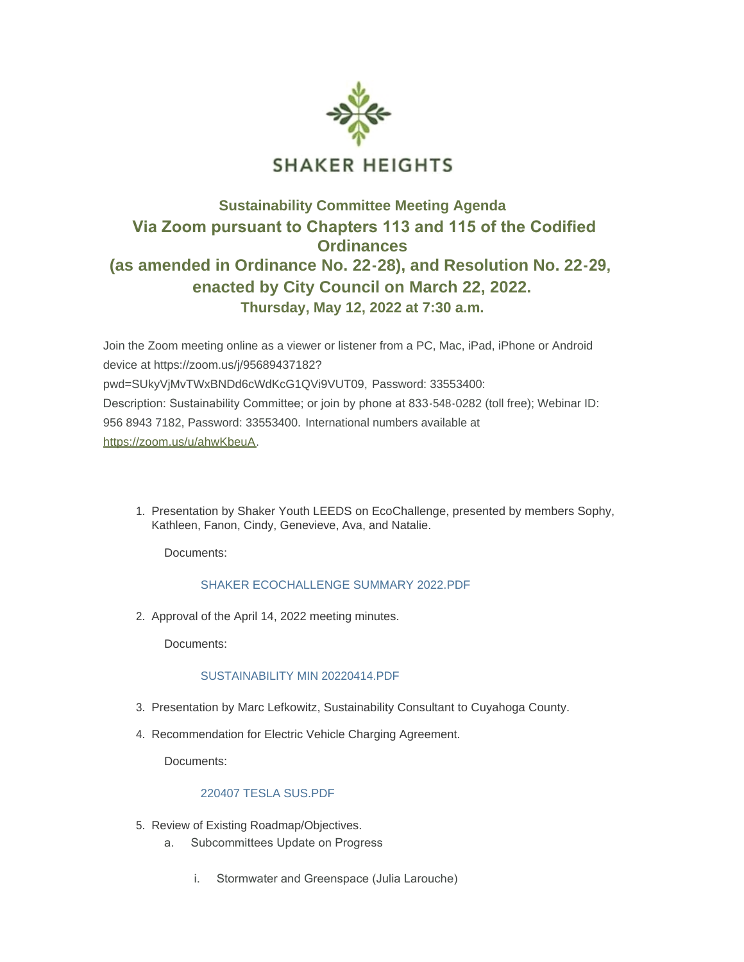

## **Sustainability Committee Meeting Agenda Via Zoom pursuant to Chapters 113 and 115 of the Codified Ordinances (as amended in Ordinance No. 22-28), and Resolution No. 22-29, enacted by City Council on March 22, 2022. Thursday, May 12, 2022 at 7:30 a.m.**

Join the Zoom meeting online as a viewer or listener from a PC, Mac, iPad, iPhone or Android device at https://zoom.us/j/95689437182? pwd=SUkyVjMvTWxBNDd6cWdKcG1QVi9VUT09, Password: 33553400: Description: Sustainability Committee; or join by phone at 833-548-0282 (toll free); Webinar ID: [956 8943 7182, Password: 33](https://zoom.us/u/ahwKbeuA)553400. International numbers available at https://zoom.us/u/ahwKbeuA.

1. Presentation by Shaker Youth LEEDS on EcoChallenge, presented by members Sophy, Kathleen, Fanon, Cindy, Genevieve, Ava, and Natalie.

Documents:

## SHAKER ECOCHALLENGE SUMMARY 2022 PDF

2. Approval of the April 14, 2022 meeting minutes.

Documents:

## [SUSTAINABILITY MIN 20220414.PDF](https://www.shakeronline.com/AgendaCenter/ViewFile/Item/5225?fileID=9356)

- 3. Presentation by Marc Lefkowitz, Sustainability Consultant to Cuyahoga County.
- 4. Recommendation for Electric Vehicle Charging Agreement.

Documents:

## [220407 TESLA SUS.PDF](https://www.shakeronline.com/AgendaCenter/ViewFile/Item/5227?fileID=9357)

- 5. Review of Existing Roadmap/Objectives.
	- a. Subcommittees Update on Progress
		- i. Stormwater and Greenspace (Julia Larouche)